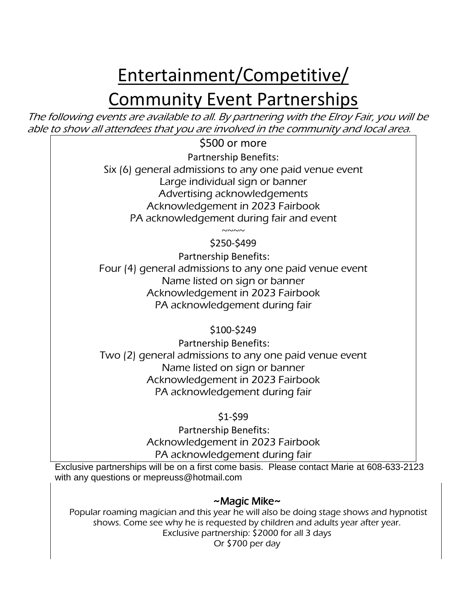# Entertainment/Competitive/

## **Community Event Partnerships**

The following events are available to all. By partnering with the Elroy Fair, you will be able to show all attendees that you are involved in the community and local area.

\$500 or more

Partnership Benefits: Six (6) general admissions to any one paid venue event Large individual sign or banner Advertising acknowledgements Acknowledgement in 2023 Fairbook PA acknowledgement during fair and event

> $\sim\sim\sim\sim$ \$250-\$499

Partnership Benefits: Four (4) general admissions to any one paid venue event Name listed on sign or banner Acknowledgement in 2023 Fairbook PA acknowledgement during fair

\$100-\$249

Partnership Benefits: Two (2) general admissions to any one paid venue event Name listed on sign or banner Acknowledgement in 2023 Fairbook PA acknowledgement during fair

\$1-\$99

Partnership Benefits: Acknowledgement in 2023 Fairbook PA acknowledgement during fair

Exclusive partnerships will be on a first come basis. Please contact Marie at 608-633-2123 with any questions or mepreuss@hotmail.com

### ~Magic Mike~

Popular roaming magician and this year he will also be doing stage shows and hypnotist shows. Come see why he is requested by children and adults year after year. Exclusive partnership: \$2000 for all 3 days Or \$700 per day